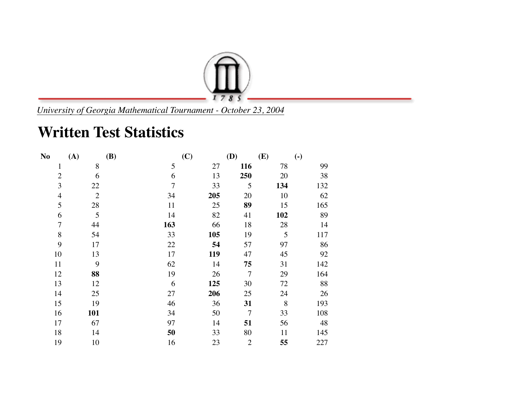

*University of Georgia Mathematical Tournament - October 23, 2004*

## **Written Test Statistics**

| N <sub>o</sub> | (A)            | <b>(B)</b>     | (C) | (D)            | (E) | $\left( \text{-} \right)$ |
|----------------|----------------|----------------|-----|----------------|-----|---------------------------|
| $\mathbf{1}$   | 8              | 5              | 27  | 116            | 78  | 99                        |
| $\overline{2}$ | 6              | 6              | 13  | 250            | 20  | 38                        |
| 3              | 22             | $\overline{7}$ | 33  | 5              | 134 | 132                       |
| $\overline{4}$ | $\overline{2}$ | 34             | 205 | 20             | 10  | 62                        |
| 5              | 28             | 11             | 25  | 89             | 15  | 165                       |
| 6              | 5              | 14             | 82  | 41             | 102 | 89                        |
| $\overline{7}$ | 44             | 163            | 66  | 18             | 28  | 14                        |
| 8              | 54             | 33             | 105 | 19             | 5   | 117                       |
| 9              | 17             | 22             | 54  | 57             | 97  | 86                        |
| 10             | 13             | 17             | 119 | 47             | 45  | 92                        |
| 11             | 9              | 62             | 14  | 75             | 31  | 142                       |
| 12             | 88             | 19             | 26  | $\overline{7}$ | 29  | 164                       |
| 13             | 12             | 6              | 125 | 30             | 72  | 88                        |
| 14             | 25             | 27             | 206 | 25             | 24  | 26                        |
| 15             | 19             | 46             | 36  | 31             | 8   | 193                       |
| 16             | 101            | 34             | 50  | $\overline{7}$ | 33  | 108                       |
| 17             | 67             | 97             | 14  | 51             | 56  | 48                        |
| 18             | 14             | 50             | 33  | 80             | 11  | 145                       |
| 19             | 10             | 16             | 23  | $\overline{2}$ | 55  | 227                       |